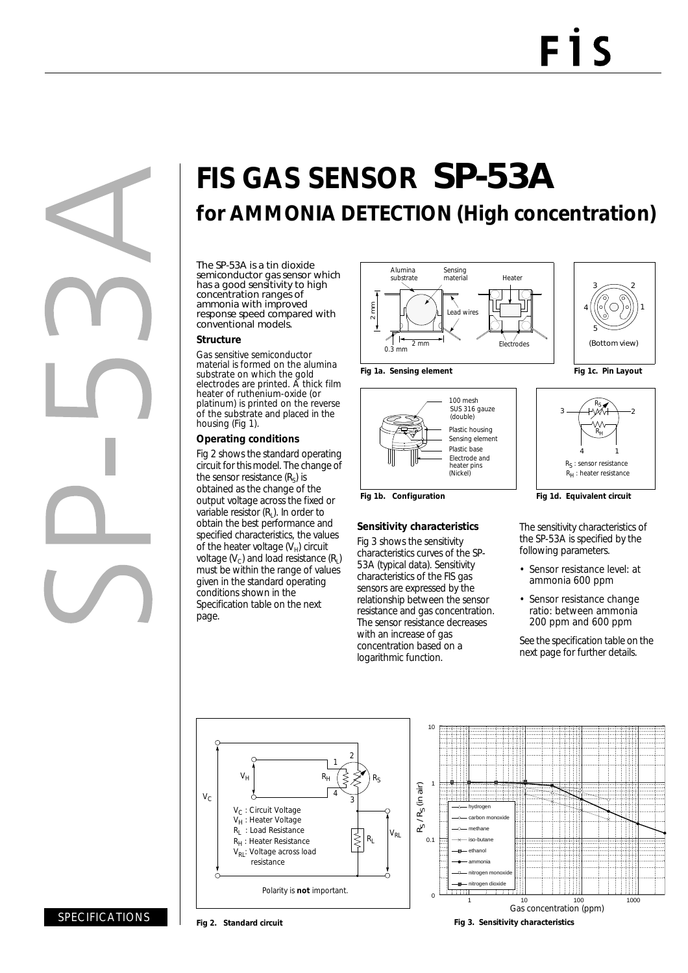# **FIS GAS SENSOR** SP-53A **for AMMONIA DETECTION (High concentration)**

The SP-53A is a tin dioxide semiconductor gas sensor which has a good sensitivity to high concentration ranges of ammonia with improved response speed compared with conventional models.

#### **Structure**

Gas sensitive semiconductor material is formed on the alumina substrate on which the gold electrodes are printed. A thick film heater of ruthenium-oxide (or platinum) is printed on the reverse of the substrate and placed in the housing (Fig 1).

### **Operating conditions**

Fig 2 shows the standard operating circuit for this model. The change of the sensor resistance  $(R_s)$  is obtained as the change of the output voltage across the fixed or variable resistor  $(R<sub>1</sub>)$ . In order to obtain the best performance and specified characteristics, the values of the heater voltage  $(V_H)$  circuit voltage  $(V_c)$  and load resistance  $(R_i)$ must be within the range of values given in the standard operating conditions shown in the Specification table on the next page.



100 mesh SUS 316 gauze

(double)

Electrode and (Nickel)

heater pins

**Sensitivity characteristics** Fig 3 shows the sensitivity characteristics curves of the SP-53A (typical data). Sensitivity characteristics of the FIS gas sensors are expressed by the relationship between the sensor resistance and gas concentration. The sensor resistance decreases with an increase of gas concentration based on a logarithmic function.

Plastic housing

Sensing element Plastic base







Fig 1b. Configuration **Fig 1d. Equivalent circuit** 

The sensitivity characteristics of the SP-53A is specified by the following parameters.

- Sensor resistance level: at ammonia 600 ppm
- Sensor resistance change ratio: between ammonia 200 ppm and 600 ppm

See the specification table on the next page for further details.





#### SPECIFICATIONS